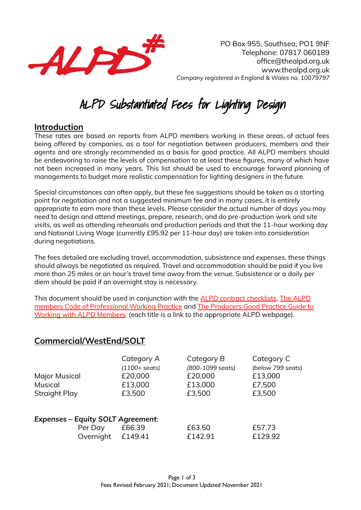

PO Box 955, Southsea, PO1 9NF Telephone: 07817 060189 office@thealpd.org.uk www.thealpd.org.uk *Company registered in England & Wales no. 10079797*

# ALPD Substantiated Fees for Lighting Design

#### **Introduction**

These rates are based on reports from ALPD members working in these areas, of actual fees being offered by companies, as a tool for negotiation between producers, members and their agents and are strongly recommended as a basis for good practice. All ALPD members should be endeavoring to raise the levels of compensation to at least these figures, many of which have not been increased in many years. This list should be used to encourage forward planning of managements to budget more realistic compensation for lighting designers in the future.

Special circumstances can often apply, but these fee suggestions should be taken as a starting point for negotiation and not a suggested minimum fee and in many cases, it is entirely appropriate to earn more than these levels. Please consider the actual number of days you may need to design and attend meetings, prepare, research, and do pre-production work and site visits, as well as attending rehearsals and production periods and that the 11-hour working day and National Living Wage (currently £95.92 per 11-hour day) are taken into consideration during negotiations.

The fees detailed are excluding travel, accommodation, subsistence and expenses, these things should always be negotiated as required. Travel and accommodation should be paid if you live more than 25 miles or an hour's travel time away from the venue. Subsistence or a daily per diem should be paid if an overnight stay is necessary.

This document should be used in conjunction with the ALPD contract [checklists,](https://www.ald.org.uk/resources/ald-contract-checklists) The [ALPD](https://www.ald.org.uk/resources/ald-professional-practice-guides) members Code of [Professional](https://www.ald.org.uk/resources/ald-professional-practice-guides) Working Practice and The [Producers](https://www.ald.org.uk/resources/ald-producers%E2%80%99-good-practice-guide-to-working-with-ald-members) Good Practice Guide to Working with ALPD [Members](https://www.ald.org.uk/resources/ald-producers%E2%80%99-good-practice-guide-to-working-with-ald-members). (each title is a link to the appropriate ALPD webpage).

#### **Commercial/WestEnd/SOLT**

|                                          | Category A              | Category B       | Category C        |
|------------------------------------------|-------------------------|------------------|-------------------|
|                                          | $(1100 + \text{seats})$ | (800-1099 seats) | (below 799 seats) |
| Major Musical                            | £20,000                 | £20,000          | £13,000           |
| <b>Musical</b>                           | £13,000                 | £13,000          | £7,500            |
| <b>Straight Play</b>                     | £3,500                  | £3,500           | £3,500            |
| <b>Expenses - Equity SOLT Agreement:</b> |                         |                  |                   |
| Per Day                                  | £66.39                  | £63.50           | £57.73            |
| Overnight                                | £149.41                 | £142.91          | £129.92           |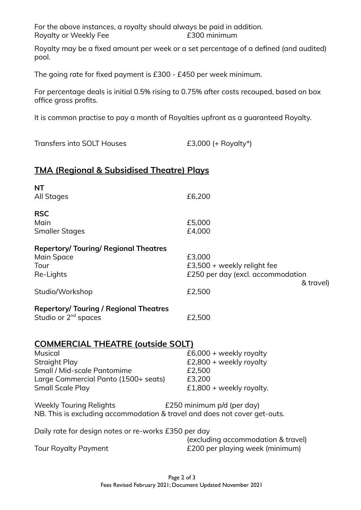For the above instances, a royalty should always be paid in addition. Royalty or Weekly Fee **E300 minimum** 

Royalty may be a fixed amount per week or a set percentage of a defined (and audited) pool.

The going rate for fixed payment is £300 - £450 per week minimum.

For percentage deals is initial 0.5% rising to 0.75% after costs recouped, based on box office gross profits.

It is common practise to pay a month of Royalties upfront as a guaranteed Royalty.

Transfers into SOLT Houses E3,000 (+ Royalty\*)

### **TMA (Regional & Subsidised Theatre) Plays**

| <b>NT</b><br><b>All Stages</b>                                                                                                                                                       | £6,200                                                                                               |
|--------------------------------------------------------------------------------------------------------------------------------------------------------------------------------------|------------------------------------------------------------------------------------------------------|
| <b>RSC</b><br>Main<br><b>Smaller Stages</b>                                                                                                                                          | £5,000<br>£4,000                                                                                     |
| <b>Repertory/ Touring/ Regional Theatres</b><br>Main Space<br>Tour<br>Re-Lights                                                                                                      | £3,000<br>£3,500 + weekly relight fee<br>£250 per day (excl. accommodation<br>& travel)              |
| Studio/Workshop                                                                                                                                                                      | £2,500                                                                                               |
| <b>Repertory/ Touring / Regional Theatres</b><br>Studio or 2 <sup>nd</sup> spaces                                                                                                    | £2,500                                                                                               |
| <b>COMMERCIAL THEATRE (outside SOLT)</b><br><b>Musical</b><br><b>Straight Play</b><br>Small / Mid-scale Pantomime<br>Large Commercial Panto (1500+ seats)<br><b>Small Scale Play</b> | $£6,000 + weekly$ royalty<br>£2,800 + weekly royalty<br>£2,500<br>£3,200<br>£1,800 + weekly royalty. |
| <b>Weekly Touring Relights</b><br>NB. This is excluding accommodation & travel and does not cover get-outs.                                                                          | £250 minimum p/d (per day)                                                                           |
| Daily rate for design notes or re-works £350 per day<br><b>Tour Royalty Payment</b>                                                                                                  | (excluding accommodation & travel)<br>£200 per playing week (minimum)                                |